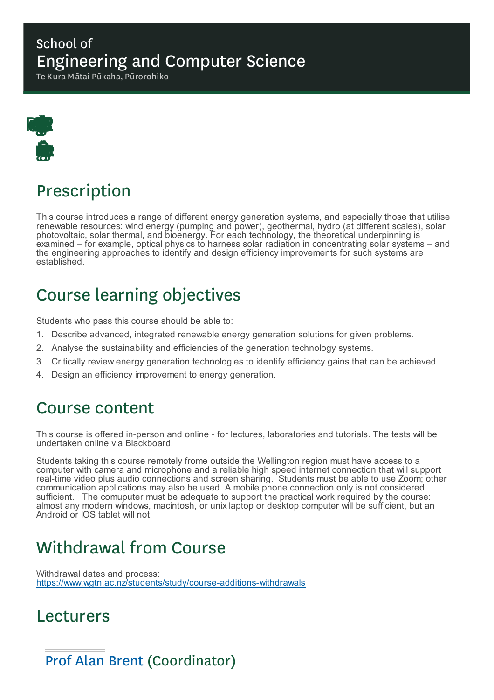### School of Engineering and Computer Science

Te Kura Mātai Pūkaha, Pūrorohiko



# Prescription

This course introduces a range of different energy generation systems, and especially those that utilise renewable resources: wind energy (pumping and power), geothermal, hydro (at different scales), solar photovoltaic, solar thermal, and bioenergy. For each technology, the theoretical underpinning is examined – for example, optical physics to harness solar radiation in concentrating solar systems – and the engineering approaches to identify and design efficiency improvements for such systems are established.

# Course learning objectives

Students who pass this course should be able to:

- 1. Describe advanced, integrated renewable energy generation solutions for given problems.
- 2. Analyse the sustainability and efficiencies of the generation technology systems.
- 3. Critically review energy generation technologies to identify efficiency gains that can be achieved.
- 4. Design an efficiency improvement to energy generation.

## Course content

This course is offered in-person and online - for lectures, laboratories and tutorials. The tests will be undertaken online via Blackboard.

Students taking this course remotely frome outside the Wellington region must have access to a computer with camera and microphone and a reliable high speed internet connection that will support real-time video plus audio connections and screen sharing. Students must be able to use Zoom; other communication applications may also be used. A mobile phone connection only is not considered sufficient. The comuputer must be adequate to support the practical work required by the course: almost any modern windows, macintosh, or unix laptop or desktop computer will be sufficient, but an Android or IOS tablet will not.

# Withdrawal from Course

Withdrawal dates and process: https://www.wgtn.ac.nz/students/study/course-additions-withdrawals

## Lecturers

Prof Alan Brent (Coordinator)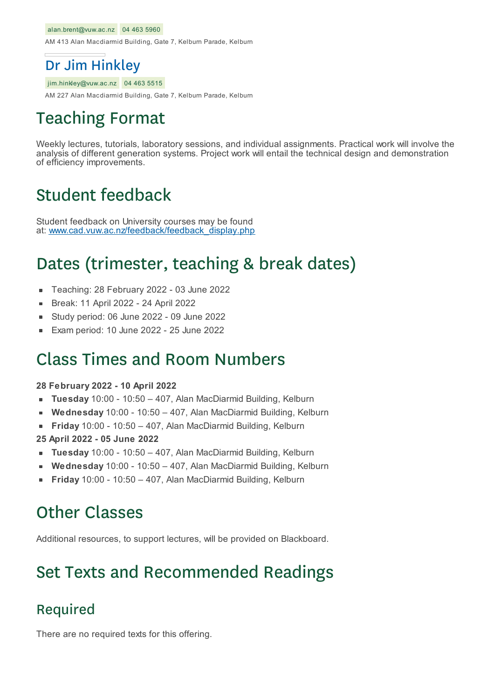#### alan.brent@vuw.ac.nz 04 463 5960

AM 413 Alan Macdiarmid Building, Gate 7, Kelburn Parade, Kelburn

#### Dr Jim Hinkley

jim.hinkley@vuw.ac.nz 04 463 5515

AM 227 Alan Macdiarmid Building, Gate 7, Kelburn Parade, Kelburn

## Teaching Format

Weekly lectures, tutorials, laboratory sessions, and individual assignments. Practical work will involve the analysis of different generation systems. Project work will entail the technical design and demonstration of efficiency improvements.

## Student feedback

Student feedback on University courses may be found at: www.cad.vuw.ac.nz/feedback/feedback\_display.php

## Dates (trimester, teaching & break dates)

- Teaching: 28 February 2022 03 June 2022 ×
- Break: 11 April 2022 24 April 2022
- Study period: 06 June 2022 09 June 2022
- Exam period: 10 June 2022 25 June 2022

### Class Times and Room Numbers

#### **28 February 2022 - 10 April 2022**

- **Tuesday** 10:00 10:50 407, Alan MacDiarmid Building, Kelburn
- **Wednesday** 10:00 10:50 407, Alan MacDiarmid Building, Kelburn
- **Friday** 10:00 10:50 407, Alan MacDiarmid Building, Kelburn  $\blacksquare$
- **25 April 2022 - 05 June 2022**
- **Tuesday** 10:00 10:50 407, Alan MacDiarmid Building, Kelburn
- **Wednesday** 10:00 10:50 407, Alan MacDiarmid Building, Kelburn É
- **Friday** 10:00 10:50 407, Alan MacDiarmid Building, Kelburn

## Other Classes

Additional resources, to support lectures, will be provided on Blackboard.

## Set Texts and Recommended Readings

#### Required

There are no required texts for this offering.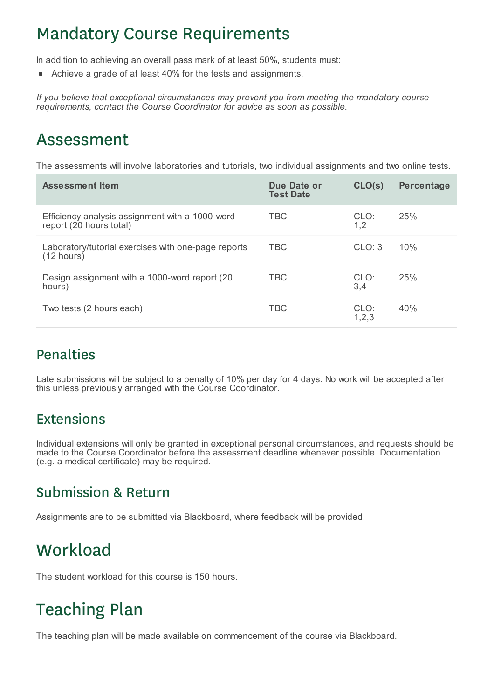## Mandatory Course Requirements

In addition to achieving an overall pass mark of at least 50%, students must:

Achieve a grade of at least 40% for the tests and assignments.

*If you believe that exceptional circumstances may prevent you from meeting the mandatory course requirements, contact the Course Coordinator for advice as soon as possible.*

## Assessment

The assessments will involve laboratories and tutorials, two individual assignments and two online tests.

| <b>Assessment Item</b>                                                      | Due Date or<br><b>Test Date</b> | CLO(s)        | Percentage |
|-----------------------------------------------------------------------------|---------------------------------|---------------|------------|
| Efficiency analysis assignment with a 1000-word<br>report (20 hours total)  | TBC                             | CLO:<br>1,2   | 25%        |
| Laboratory/tutorial exercises with one-page reports<br>$(12 \text{ hours})$ | <b>TBC</b>                      | CLO: 3        | 10%        |
| Design assignment with a 1000-word report (20<br>hours)                     | <b>TBC</b>                      | CLO:<br>3,4   | 25%        |
| Two tests (2 hours each)                                                    | <b>TBC</b>                      | CLO:<br>1,2,3 | 40%        |

### Penalties

Late submissions will be subject to a penalty of 10% per day for 4 days. No work will be accepted after this unless previously arranged with the Course Coordinator.

#### Extensions

Individual extensions will only be granted in exceptional personal circumstances, and requests should be made to the Course Coordinator before the assessment deadline whenever possible. Documentation (e.g. a medical certificate) may be required.

### Submission & Return

Assignments are to be submitted via Blackboard, where feedback will be provided.

## **Workload**

The student workload for this course is 150 hours.

# Teaching Plan

The teaching plan will be made available on commencement of the course via Blackboard.